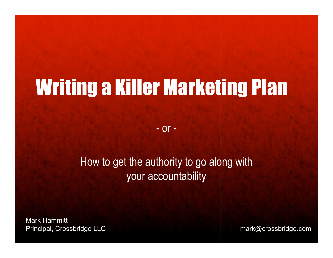### Writing a Killer Marketing Plan

- or -

### How to get the authority to go along with your accountability

Mark Hammitt Principal, Crossbridge LLC and the community of the mark and mark @crossbridge.com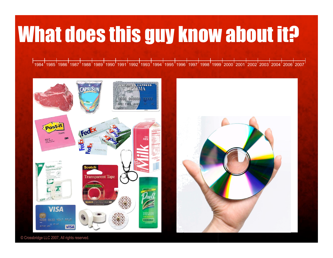## What does this guy know about it?

1984 1985 1986 1987 1988 1989 1990 1991 1992 1993 1994 1995 1996 1997 1998 1999 2000 2001 2002 2003 2004 2006 2007





© Crossbridge LLC 2007, All rights reserved.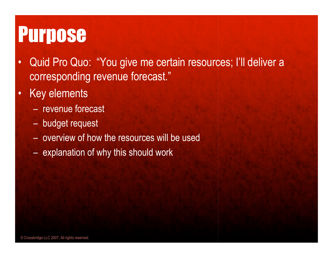### Purpose

- Quid Pro Quo: "You give me certain resources; I'll deliver a corresponding revenue forecast."
- Key elements
	- revenue forecast
	- budget request
	- overview of how the resources will be used
	- explanation of why this should work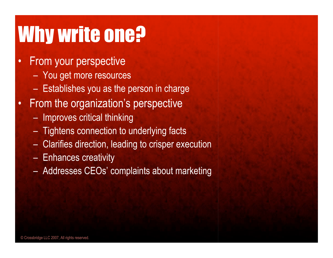## Why write one?

- From your perspective
	- You get more resources
	- Establishes you as the person in charge
- From the organization's perspective
	- Improves critical thinking
	- Tightens connection to underlying facts
	- Clarifies direction, leading to crisper execution
	- Enhances creativity
	- Addresses CEOs' complaints about marketing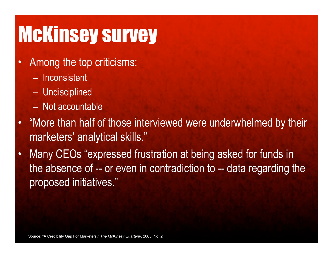## McKinsey survey

- Among the top criticisms:
	- Inconsistent
	- Undisciplined
	- Not accountable
- "More than half of those interviewed were underwhelmed by their marketers' analytical skills."
- Many CEOs "expressed frustration at being asked for funds in the absence of -- or even in contradiction to -- data regarding the proposed initiatives."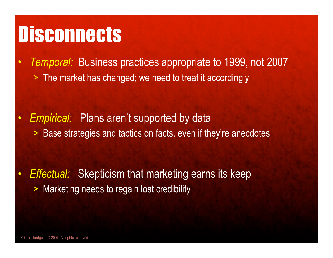### **Disconnects**

• *Temporal:* Business practices appropriate to 1999, not 2007 > The market has changed; we need to treat it accordingly

• *Empirical:* Plans aren't supported by data > Base strategies and tactics on facts, even if they're anecdotes

• *Effectual:* Skepticism that marketing earns its keep > Marketing needs to regain lost credibility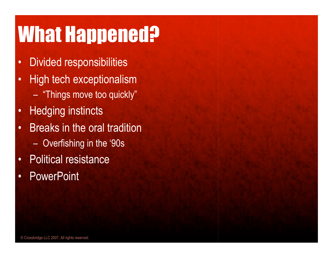# What Happened?

- Divided responsibilities
- High tech exceptionalism
	- "Things move too quickly"
- Hedging instincts
- Breaks in the oral tradition
	- Overfishing in the '90s
- Political resistance
- PowerPoint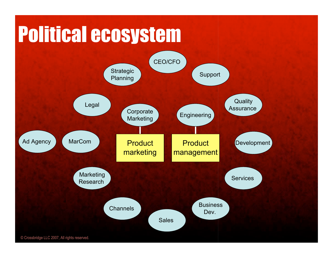# Political ecosystem

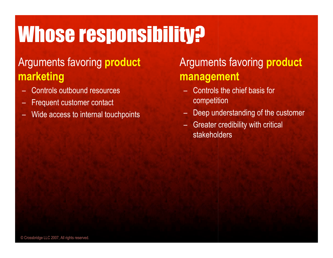# Whose responsibility?

### Arguments favoring **product marketing**

- Controls outbound resources
- Frequent customer contact
- Wide access to internal touchpoints

### Arguments favoring **product management**

- Controls the chief basis for competition
- Deep understanding of the customer
- Greater credibility with critical stakeholders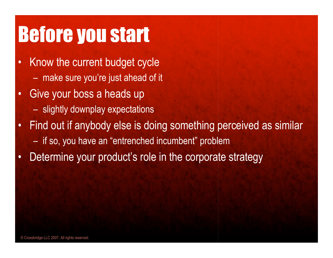### Before you start

- Know the current budget cycle – make sure you're just ahead of it
- Give your boss a heads up
	- slightly downplay expectations
- Find out if anybody else is doing something perceived as similar
	- if so, you have an "entrenched incumbent" problem
- Determine your product's role in the corporate strategy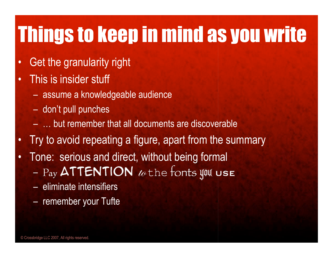# Things to keep in mind as you write

- Get the granularity right
- This is insider stuff
	- assume a knowledgeable audience
	- don't pull punches
	- … but remember that all documents are discoverable
- Try to avoid repeating a figure, apart from the summary
- Tone: serious and direct, without being formal
	- $-$  Pay ATTENTION *to* the fonts you use
	- eliminate intensifiers
	- remember your Tufte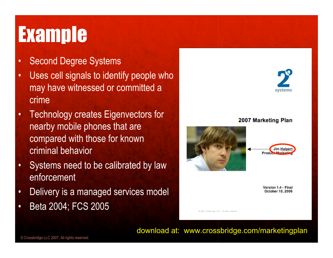### Example

- Second Degree Systems
- Uses cell signals to identify people who may have witnessed or committed a crime
- Technology creates Eigenvectors for nearby mobile phones that are compared with those for known criminal behavior
- Systems need to be calibrated by law enforcement
- Delivery is a managed services model
- Beta 2004; FCS 2005



download at: www.crossbridge.com/marketingplan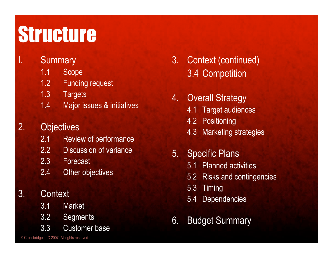### Structure

#### I. Summary

- 1.1 Scope
- 1.2 Funding request
- 1.3 Targets
- 1.4 Major issues & initiatives

#### 2. Objectives

- 2.1 Review of performance
- 2.2 Discussion of variance
- 2.3 Forecast
- 2.4 Other objectives

#### 3. Context

- 3.1 Market
- 3.2 Segments
- 3.3 Customer base

#### 3. Context (continued) 3.4 Competition

- 4. Overall Strategy
	- 4.1 Target audiences
	- 4.2 Positioning
	- 4.3 Marketing strategies
- 5. Specific Plans
	- 5.1 Planned activities
	- 5.2 Risks and contingencies
	- 5.3 Timing
	- 5.4 Dependencies
- 6. Budget Summary

© Crossbridge LLC 2007, All rights reserved.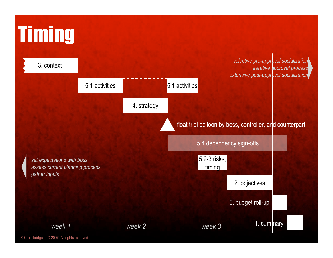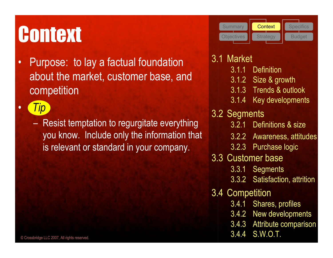• *Tip*

- Purpose: to lay a factual foundation about the market, customer base, and competition
	- Resist temptation to regurgitate everything you know. Include only the information that is relevant or standard in your company.
- 3.1 Market
	- 3.1.1 Definition
	- 3.1.2 Size & growth
	- 3.1.3 Trends & outlook
	- 3.1.4 Key developments
- 3.2 Segments
	- 3.2.1 Definitions & size
	- 3.2.2 Awareness, attitudes
	- 3.2.3 Purchase logic
- 3.3 Customer base
	- 3.3.1 Segments
	- 3.3.2 Satisfaction, attrition
- 3.4 Competition
	- 3.4.1 Shares, profiles
	- 3.4.2 New developments
	- 3.4.3 Attribute comparison
	- 3.4.4 S.W.O.T.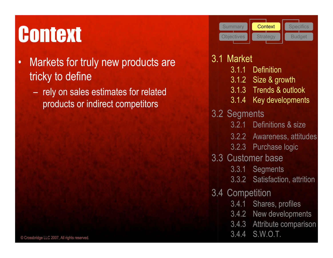### **Context**

- Markets for truly new products are tricky to define
	- rely on sales estimates for related products or indirect competitors

| <b>Context</b><br><b>Specifics</b><br><b>Summary</b>  |
|-------------------------------------------------------|
|                                                       |
| <b>Objectives</b><br><b>Strategy</b><br><b>Budget</b> |

- 3.1.1 Definition 3.1.2 Size & growth
- 3.1.3 Trends & outlook
- 3.1.4 Key developments
- 3.2 Segments
	- 3.2.1 Definitions & size
	- 3.2.2 Awareness, attitudes
	- 3.2.3 Purchase logic
- 3.3 Customer base
	- 3.3.1 Segments
	- 3.3.2 Satisfaction, attrition
- 3.4 Competition
	- 3.4.1 Shares, profiles
	- 3.4.2 New developments
	- 3.4.3 Attribute comparison
	- 3.4.4 S.W.O.T.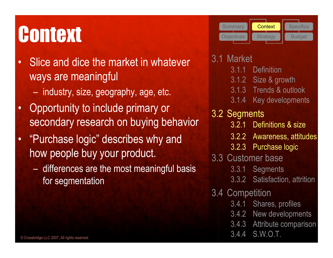- Slice and dice the market in whatever ways are meaningful
	- industry, size, geography, age, etc.
- Opportunity to include primary or secondary research on buying behavior
- "Purchase logic" describes why and how people buy your product.
	- differences are the most meaningful basis for segmentation



- 3.1 Market
	- 3.1.1 Definition
	- 3.1.2 Size & growth
	- 3.1.3 Trends & outlook
	- 3.1.4 Key developments
- 3.2 Segments
	- 3.2.1 Definitions & size
	- 3.2.2 Awareness, attitudes
	- 3.2.3 Purchase logic
- 3.3 Customer base
	- 3.3.1 Segments
	- 3.3.2 Satisfaction, attrition
- 3.4 Competition
	- 3.4.1 Shares, profiles
	- 3.4.2 New developments
	- 3.4.3 Attribute comparison
	- 3.4.4 S.W.O.T.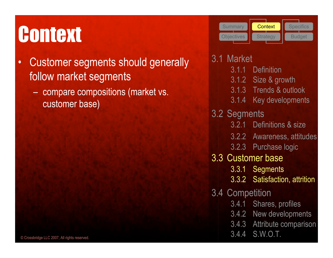- Customer segments should generally follow market segments
	- compare compositions (market vs. customer base)



3.4.4 S.W.O.T.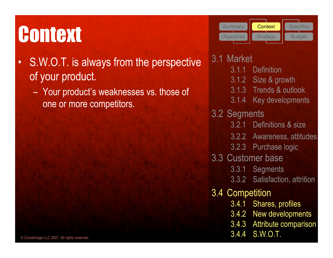- S.W.O.T. is always from the perspective of your product.
	- Your product's weaknesses vs. those of one or more competitors.



- 3.1 Market
	- 3.1.1 Definition
	- 3.1.2 Size & growth
	- 3.1.3 Trends & outlook
	- 3.1.4 Key developments
- 3.2 Segments
	- 3.2.1 Definitions & size
	- 3.2.2 Awareness, attitudes
	- 3.2.3 Purchase logic
- 3.3 Customer base
	- 3.3.1 Segments
	- 3.3.2 Satisfaction, attrition
- 3.4 Competition
	- 3.4.1 Shares, profiles
	- 3.4.2 New developments
	- 3.4.3 Attribute comparison
	- 3.4.4 S.W.O.T.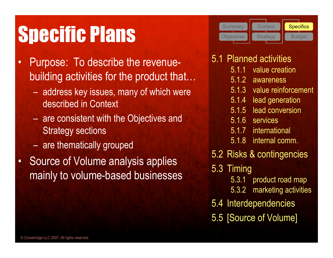- Purpose: To describe the revenuebuilding activities for the product that…
	- address key issues, many of which were described in Context
	- are consistent with the Objectives and Strategy sections
	- are thematically grouped
- Source of Volume analysis applies mainly to volume-based businesses



#### 5.1 Planned activities

- 5.1.1 value creation
- 5.1.2 awareness
- 5.1.3 value reinforcement
- 5.1.4 lead generation
- 5.1.5 lead conversion
- 5.1.6 services
- 5.1.7 international
- 5.1.8 internal comm.
- 5.2 Risks & contingencies
- 5.3 Timing
	- 5.3.1 product road map
	- 5.3.2 marketing activities
- 5.4 Interdependencies
- 5.5 [Source of Volume]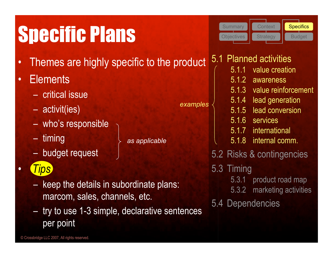# Specific Plans

- Themes are highly specific to the product
- Elements
	- critical issue
	- activit(ies)
	- who's responsible
	- timing
	- budget request

### • *Tips*

- keep the details in subordinate plans: marcom, sales, channels, etc.
- try to use 1-3 simple, declarative sentences per point

**Objectives** Summary Context **Specifics** Strategy **Budget** 

5.1 Planned activities 5.1.1 value creation

*examples*

- 5.1.2 awareness
- 5.1.3 value reinforcement
- 5.1.4 lead generation
- 5.1.5 lead conversion
- 5.1.6 services
- 5.1.7 international
- 5.1.8 internal comm.
- 5.2 Risks & contingencies
- 5.3 Timing
	- 5.3.1 product road map
	- 5.3.2 marketing activities
- 5.4 Dependencies

*as applicable*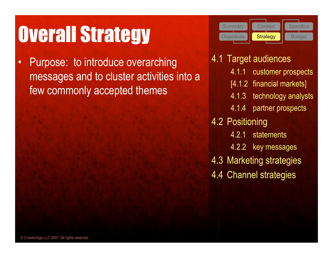# **CONGRAM STRATEGY** Context Specifics Summary Context Specifics

• Purpose: to introduce overarching messages and to cluster activities into a few commonly accepted themes



- 4.1 Target audiences
	- 4.1.1 customer prospects
	- [4.1.2 financial markets]
	- 4.1.3 technology analysts
	- 4.1.4 partner prospects
- 4.2 Positioning
	- 4.2.1 statements
	- 4.2.2 key messages
- 4.3 Marketing strategies
- 4.4 Channel strategies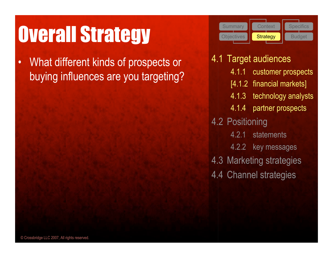# **CONGREST STREET STREET SUMMARY SUMMARY SPECIFICS**

• What different kinds of prospects or buying influences are you targeting? **Objectives** 

- 4.1 Target audiences
	- 4.1.1 customer prospects
	- [4.1.2 financial markets]
	- 4.1.3 technology analysts
	- 4.1.4 partner prospects
- 4.2 Positioning
	- 4.2.1 statements
	- 4.2.2 key messages
	- 4.3 Marketing strategies
	- 4.4 Channel strategies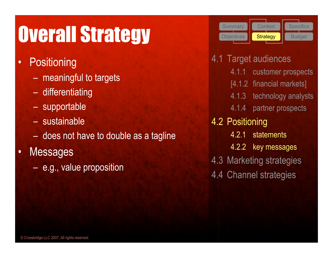# **OVETAIL Strategy** Summary Context Specifics

- Positioning
	- meaningful to targets
	- differentiating
	- supportable
	- sustainable
	- does not have to double as a tagline
- Messages
	- e.g., value proposition



4.1 Target audiences 4.1.1 customer prospects [4.1.2 financial markets] 4.1.3 technology analysts 4.1.4 partner prospects 4.2 Positioning 4.2.1 statements 4.2.2 key messages 4.3 Marketing strategies 4.4 Channel strategies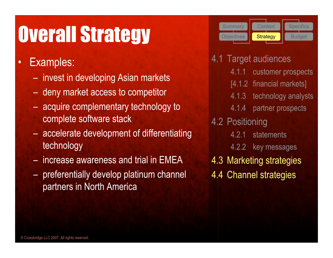# **CONGRAM STRATEGY** Context Specifics Summary Context Specifics

#### • Examples:

- invest in developing Asian markets
- deny market access to competitor
- acquire complementary technology to complete software stack
- accelerate development of differentiating technology
- increase awareness and trial in EMEA
- preferentially develop platinum channel partners in North America



- 4.1 Target audiences
	- 4.1.1 customer prospects
	- [4.1.2 financial markets]
	- 4.1.3 technology analysts
	- 4.1.4 partner prospects
- 4.2 Positioning
	- 4.2.1 statements
	- 4.2.2 key messages
- 4.3 Marketing strategies
- 4.4 Channel strategies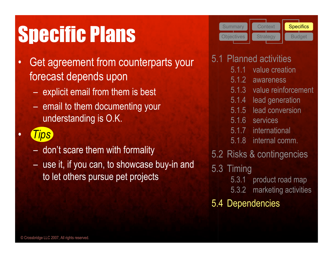- Get agreement from counterparts your forecast depends upon
	- explicit email from them is best
	- email to them documenting your understanding is O.K.
- *Tips*
	- don't scare them with formality
	- use it, if you can, to showcase buy-in and to let others pursue pet projects



- 5.1 Planned activities
	- 5.1.1 value creation
	- 5.1.2 awareness
	- 5.1.3 value reinforcement
	- 5.1.4 lead generation
	- 5.1.5 lead conversion
	- 5.1.6 services
	- 5.1.7 international
	- 5.1.8 internal comm.
	- 5.2 Risks & contingencies
	- 5.3 Timing
		- 5.3.1 product road map
		- 5.3.2 marketing activities
	- 5.4 Dependencies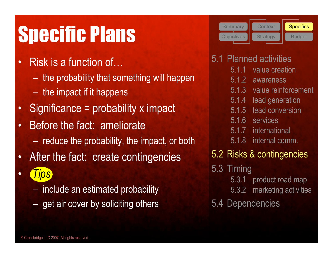- Risk is a function of…
	- the probability that something will happen
	- the impact if it happens
- Significance = probability x impact
- Before the fact: ameliorate
	- reduce the probability, the impact, or both
- After the fact: create contingencies
- *Tips*
	- include an estimated probability
	- get air cover by soliciting others



#### 5.1 Planned activities

- 5.1.1 value creation
- 5.1.2 awareness
- 5.1.3 value reinforcement
- 5.1.4 lead generation
- 5.1.5 lead conversion
- 5.1.6 services
- 5.1.7 international
- 5.1.8 internal comm.
- 5.2 Risks & contingencies
- 5.3 Timing
	- 5.3.1 product road map
	- 5.3.2 marketing activities
- 5.4 Dependencies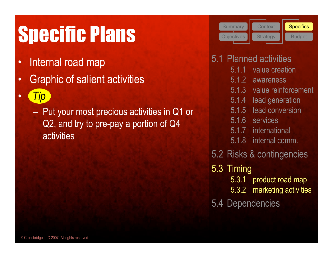- Internal road map
- Graphic of salient activities
- *Tip* 
	- Put your most precious activities in Q1 or Q2, and try to pre-pay a portion of Q4 activities



#### 5.1 Planned activities

- 5.1.1 value creation
- 5.1.2 awareness
- 5.1.3 value reinforcement
- 5.1.4 lead generation
- 5.1.5 lead conversion
- 5.1.6 services
- 5.1.7 international
- 5.1.8 internal comm.
- 5.2 Risks & contingencies
- 5.3 Timing
	- 5.3.1 product road map
	- 5.3.2 marketing activities
- 5.4 Dependencies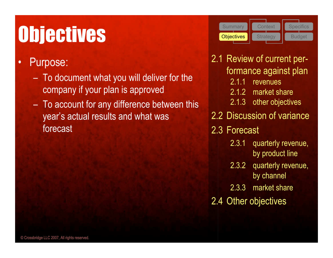### • Purpose:

- To document what you will deliver for the company if your plan is approved
- To account for any difference between this year's actual results and what was forecast



- 2.1 Review of current performance against plan 2.1.1 revenues
	- 2.1.2 market share
	- 2.1.3 other objectives
- 2.2 Discussion of variance
- 2.3 Forecast
	- 2.3.1 quarterly revenue, by product line
	- 2.3.2 quarterly revenue, by channel
	- 2.3.3 market share
- 2.4 Other objectives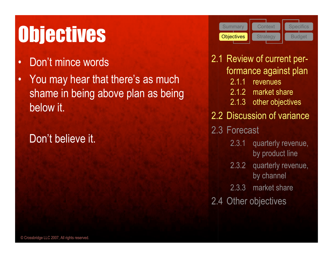- Don't mince words
- You may hear that there's as much shame in being above plan as being below it.

### Don't believe it.



2.1 Review of current performance against plan 2.1.1 revenues 2.1.2 market share 2.1.3 other objectives 2.2 Discussion of variance 2.3 Forecast 2.3.1 quarterly revenue, by product line 2.3.2 quarterly revenue, by channel 2.3.3 market share 2.4 Other objectives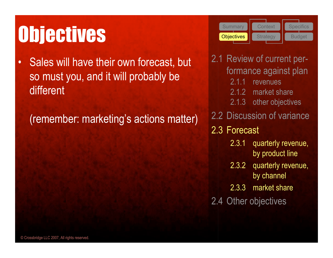• Sales will have their own forecast, but so must you, and it will probably be different

(remember: marketing's actions matter)



2.1 Review of current performance against plan 2.1.1 revenues 2.1.2 market share 2.1.3 other objectives 2.2 Discussion of variance 2.3 Forecast 2.3.1 quarterly revenue, by product line 2.3.2 quarterly revenue, by channel 2.3.3 market share 2.4 Other objectives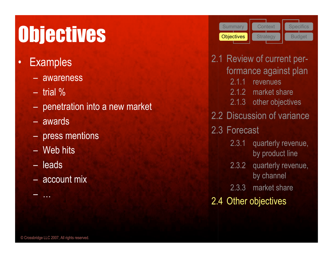- Examples
	- awareness
	- $-$  trial %
	- penetration into a new market
	- awards
	- press mentions
	- Web hits
	- leads

– …

– account mix



2.1 Review of current performance against plan 2.1.1 revenues 2.1.2 market share 2.1.3 other objectives 2.2 Discussion of variance 2.3 Forecast 2.3.1 quarterly revenue, by product line 2.3.2 quarterly revenue, by channel 2.3.3 market share 2.4 Other objectives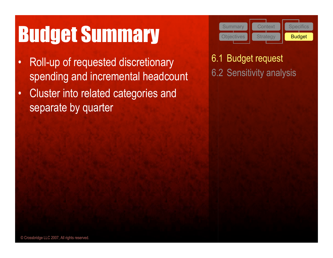## Budget Summary Summary Context Specifics

- Roll-up of requested discretionary spending and incremental headcount
- Cluster into related categories and separate by quarter



6.1 Budget request 6.2 Sensitivity analysis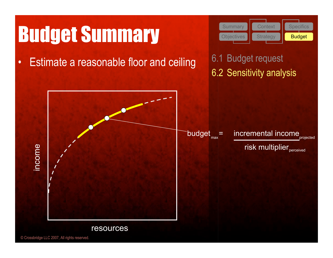## Budget Summary

• Estimate a reasonable floor and ceiling

**Objectives** Summary Context Specifics Strategy **| Budget** 

6.1 Budget request 6.2 Sensitivity analysis



© Crossbridge LLC 2007, All rights reserved.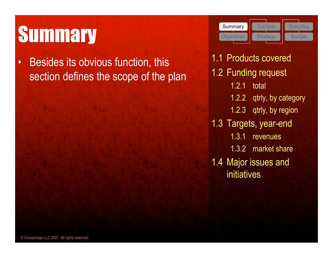• Besides its obvious function, this section defines the scope of the plan



- 1.1 Products covered
- 1.2 Funding request
	- 1.2.1 total
	- 1.2.2 qtrly, by category
	- 1.2.3 qtrly, by region
- 1.3 Targets, year-end
	- 1.3.1 revenues
	- 1.3.2 market share
- 1.4 Major issues and initiatives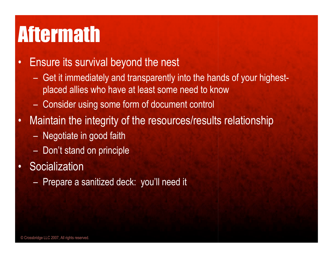### Aftermath

#### • Ensure its survival beyond the nest

- Get it immediately and transparently into the hands of your highestplaced allies who have at least some need to know
- Consider using some form of document control
- Maintain the integrity of the resources/results relationship
	- Negotiate in good faith
	- Don't stand on principle
- Socialization
	- Prepare a sanitized deck: you'll need it